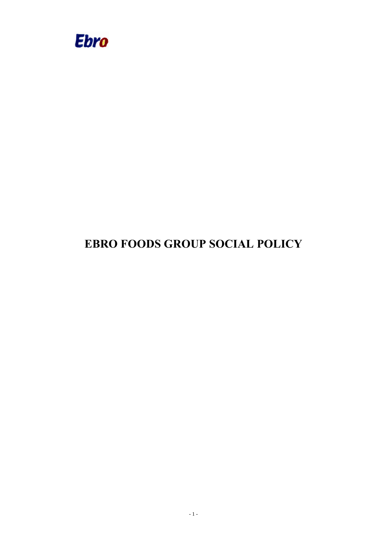

# **EBRO FOODS GROUP SOCIAL POLICY**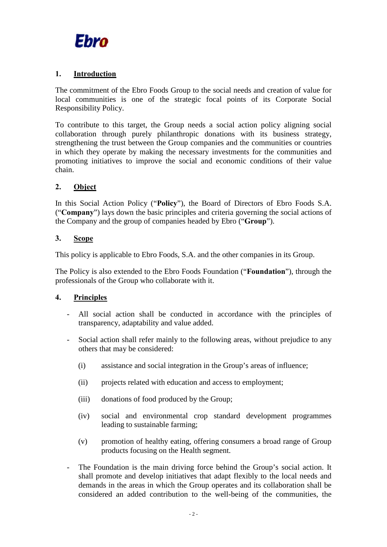

#### **1. Introduction**

The commitment of the Ebro Foods Group to the social needs and creation of value for local communities is one of the strategic focal points of its Corporate Social Responsibility Policy.

To contribute to this target, the Group needs a social action policy aligning social collaboration through purely philanthropic donations with its business strategy, strengthening the trust between the Group companies and the communities or countries in which they operate by making the necessary investments for the communities and promoting initiatives to improve the social and economic conditions of their value chain.

## **2. Object**

In this Social Action Policy ("**Policy**"), the Board of Directors of Ebro Foods S.A. ("**Company**") lays down the basic principles and criteria governing the social actions of the Company and the group of companies headed by Ebro ("**Group**").

## **3. Scope**

This policy is applicable to Ebro Foods, S.A. and the other companies in its Group.

The Policy is also extended to the Ebro Foods Foundation ("**Foundation**"), through the professionals of the Group who collaborate with it.

#### **4. Principles**

- All social action shall be conducted in accordance with the principles of transparency, adaptability and value added.
- Social action shall refer mainly to the following areas, without prejudice to any others that may be considered:
	- (i) assistance and social integration in the Group's areas of influence;
	- (ii) projects related with education and access to employment;
	- (iii) donations of food produced by the Group;
	- (iv) social and environmental crop standard development programmes leading to sustainable farming;
	- (v) promotion of healthy eating, offering consumers a broad range of Group products focusing on the Health segment.
- The Foundation is the main driving force behind the Group's social action. It shall promote and develop initiatives that adapt flexibly to the local needs and demands in the areas in which the Group operates and its collaboration shall be considered an added contribution to the well-being of the communities, the